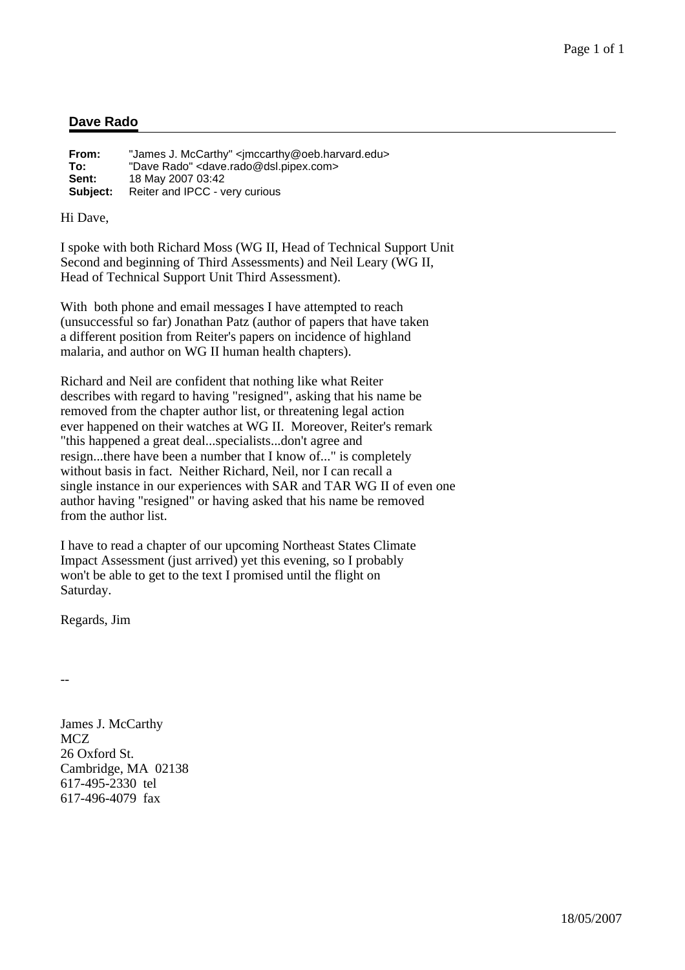### **Dave Rado**

| From:    | "James J. McCarthy" <jmccarthy@oeb.harvard.edu></jmccarthy@oeb.harvard.edu> |
|----------|-----------------------------------------------------------------------------|
| To:      | "Dave Rado" <dave.rado@dsl.pipex.com></dave.rado@dsl.pipex.com>             |
| Sent:    | 18 May 2007 03:42                                                           |
| Subject: | Reiter and IPCC - very curious                                              |

Hi Dave,

I spoke with both Richard Moss (WG II, Head of Technical Support Unit Second and beginning of Third Assessments) and Neil Leary (WG II, Head of Technical Support Unit Third Assessment).

With both phone and email messages I have attempted to reach (unsuccessful so far) Jonathan Patz (author of papers that have taken a different position from Reiter's papers on incidence of highland malaria, and author on WG II human health chapters).

Richard and Neil are confident that nothing like what Reiter describes with regard to having "resigned", asking that his name be removed from the chapter author list, or threatening legal action ever happened on their watches at WG II. Moreover, Reiter's remark "this happened a great deal...specialists...don't agree and resign...there have been a number that I know of..." is completely without basis in fact. Neither Richard, Neil, nor I can recall a single instance in our experiences with SAR and TAR WG II of even one author having "resigned" or having asked that his name be removed from the author list.

I have to read a chapter of our upcoming Northeast States Climate Impact Assessment (just arrived) yet this evening, so I probably won't be able to get to the text I promised until the flight on Saturday.

Regards, Jim

--

James J. McCarthy MCZ 26 Oxford St. Cambridge, MA 02138 617-495-2330 tel 617-496-4079 fax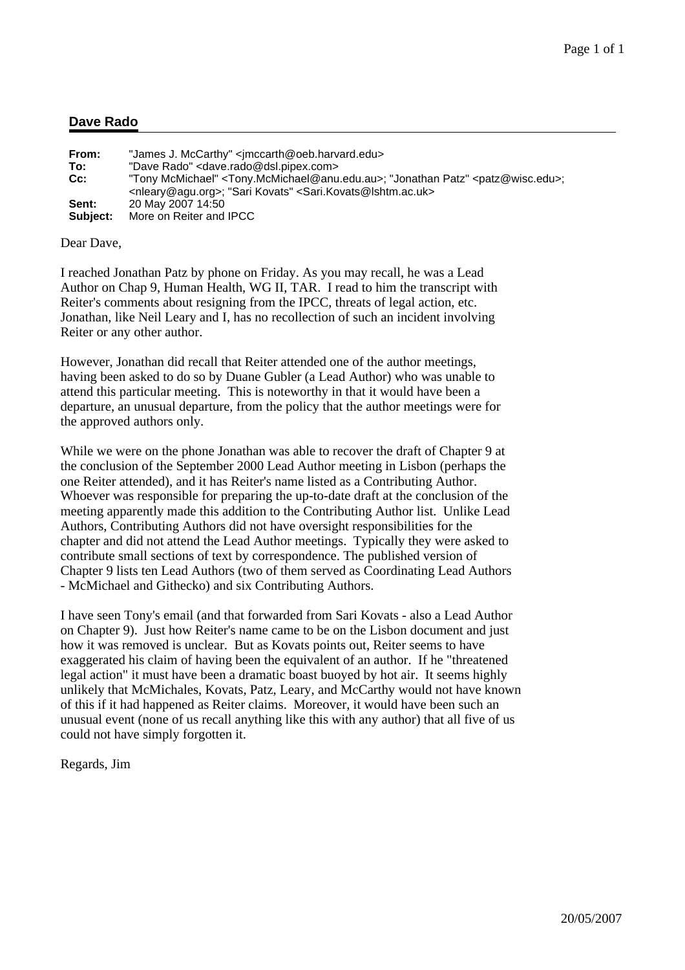### **Dave Rado**

| From:    | "James J. McCarthy" <imccarth@oeb.harvard.edu></imccarth@oeb.harvard.edu>                                                                                                                                                           |
|----------|-------------------------------------------------------------------------------------------------------------------------------------------------------------------------------------------------------------------------------------|
| To:      | "Dave Rado" <dave.rado@dsl.pipex.com></dave.rado@dsl.pipex.com>                                                                                                                                                                     |
| $Cc$ :   | "Tony McMichael" <tony.mcmichael@anu.edu.au>; "Jonathan Patz" <patz@wisc.edu>;<br/><nleary@agu.org>; "Sari Kovats" <sari.kovats@lshtm.ac.uk></sari.kovats@lshtm.ac.uk></nleary@agu.org></patz@wisc.edu></tony.mcmichael@anu.edu.au> |
| Sent:    | 20 May 2007 14:50                                                                                                                                                                                                                   |
| Subject: | More on Reiter and IPCC                                                                                                                                                                                                             |

Dear Dave,

I reached Jonathan Patz by phone on Friday. As you may recall, he was a Lead Author on Chap 9, Human Health, WG II, TAR. I read to him the transcript with Reiter's comments about resigning from the IPCC, threats of legal action, etc. Jonathan, like Neil Leary and I, has no recollection of such an incident involving Reiter or any other author.

However, Jonathan did recall that Reiter attended one of the author meetings, having been asked to do so by Duane Gubler (a Lead Author) who was unable to attend this particular meeting. This is noteworthy in that it would have been a departure, an unusual departure, from the policy that the author meetings were for the approved authors only.

While we were on the phone Jonathan was able to recover the draft of Chapter 9 at the conclusion of the September 2000 Lead Author meeting in Lisbon (perhaps the one Reiter attended), and it has Reiter's name listed as a Contributing Author. Whoever was responsible for preparing the up-to-date draft at the conclusion of the meeting apparently made this addition to the Contributing Author list. Unlike Lead Authors, Contributing Authors did not have oversight responsibilities for the chapter and did not attend the Lead Author meetings. Typically they were asked to contribute small sections of text by correspondence. The published version of Chapter 9 lists ten Lead Authors (two of them served as Coordinating Lead Authors - McMichael and Githecko) and six Contributing Authors.

I have seen Tony's email (and that forwarded from Sari Kovats - also a Lead Author on Chapter 9). Just how Reiter's name came to be on the Lisbon document and just how it was removed is unclear. But as Kovats points out, Reiter seems to have exaggerated his claim of having been the equivalent of an author. If he "threatened legal action" it must have been a dramatic boast buoyed by hot air. It seems highly unlikely that McMichales, Kovats, Patz, Leary, and McCarthy would not have known of this if it had happened as Reiter claims. Moreover, it would have been such an unusual event (none of us recall anything like this with any author) that all five of us could not have simply forgotten it.

Regards, Jim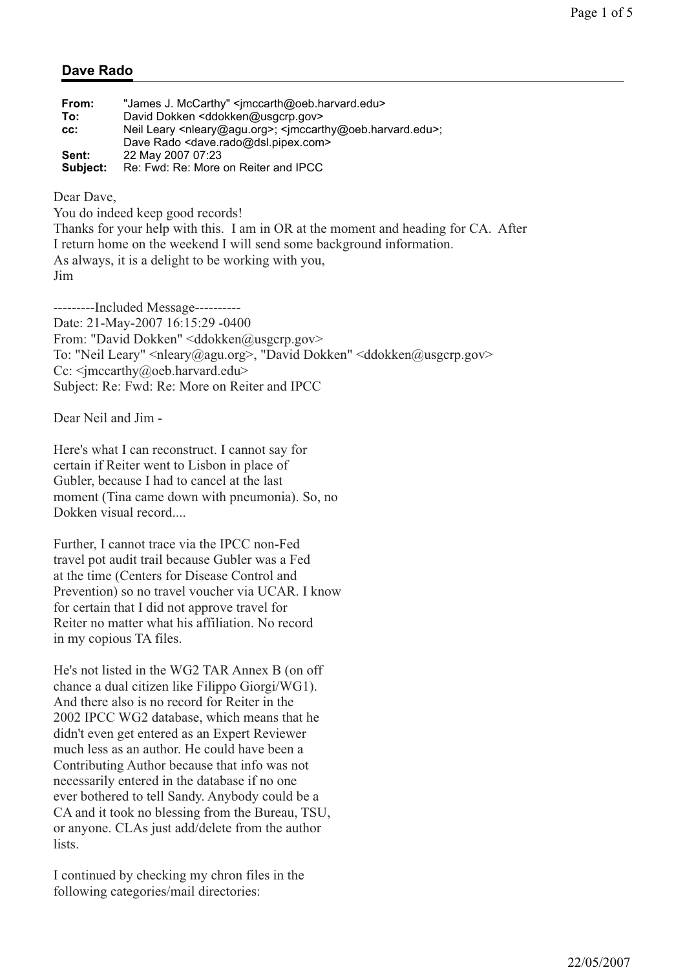# **Dave Rado**

| From:    | "James J. McCarthy" <imccarth@oeb.harvard.edu></imccarth@oeb.harvard.edu>                              |
|----------|--------------------------------------------------------------------------------------------------------|
| To:      | David Dokken <ddokken@usgcrp.gov></ddokken@usgcrp.gov>                                                 |
| CC:      | Neil Leary <nleary@agu.org>; <imccarthy@oeb.harvard.edu>;</imccarthy@oeb.harvard.edu></nleary@agu.org> |
|          | Dave Rado <dave.rado@dsl.pipex.com></dave.rado@dsl.pipex.com>                                          |
| Sent:    | 22 May 2007 07:23                                                                                      |
| Subject: | Re: Fwd: Re: More on Reiter and IPCC                                                                   |

Dear Dave,

You do indeed keep good records!

Thanks for your help with this. I am in OR at the moment and heading for CA. After I return home on the weekend I will send some background information. As always, it is a delight to be working with you, Jim

---------Included Message---------- Date: 21-May-2007 16:15:29 -0400 From: "David Dokken" <ddokken@usgcrp.gov> To: "Neil Leary" <nleary@agu.org>, "David Dokken" <ddokken@usgcrp.gov> Cc: <imccarthy@oeb.harvard.edu> Subject: Re: Fwd: Re: More on Reiter and IPCC

Dear Neil and Jim -

Here's what I can reconstruct. I cannot say for certain if Reiter went to Lisbon in place of Gubler, because I had to cancel at the last moment (Tina came down with pneumonia). So, no Dokken visual record....

Further, I cannot trace via the IPCC non-Fed travel pot audit trail because Gubler was a Fed at the time (Centers for Disease Control and Prevention) so no travel voucher via UCAR. I know for certain that I did not approve travel for Reiter no matter what his affiliation. No record in my copious TA files.

He's not listed in the WG2 TAR Annex B (on off chance a dual citizen like Filippo Giorgi/WG1). And there also is no record for Reiter in the 2002 IPCC WG2 database, which means that he didn't even get entered as an Expert Reviewer much less as an author. He could have been a Contributing Author because that info was not necessarily entered in the database if no one ever bothered to tell Sandy. Anybody could be a CA and it took no blessing from the Bureau, TSU, or anyone. CLAs just add/delete from the author lists.

I continued by checking my chron files in the following categories/mail directories: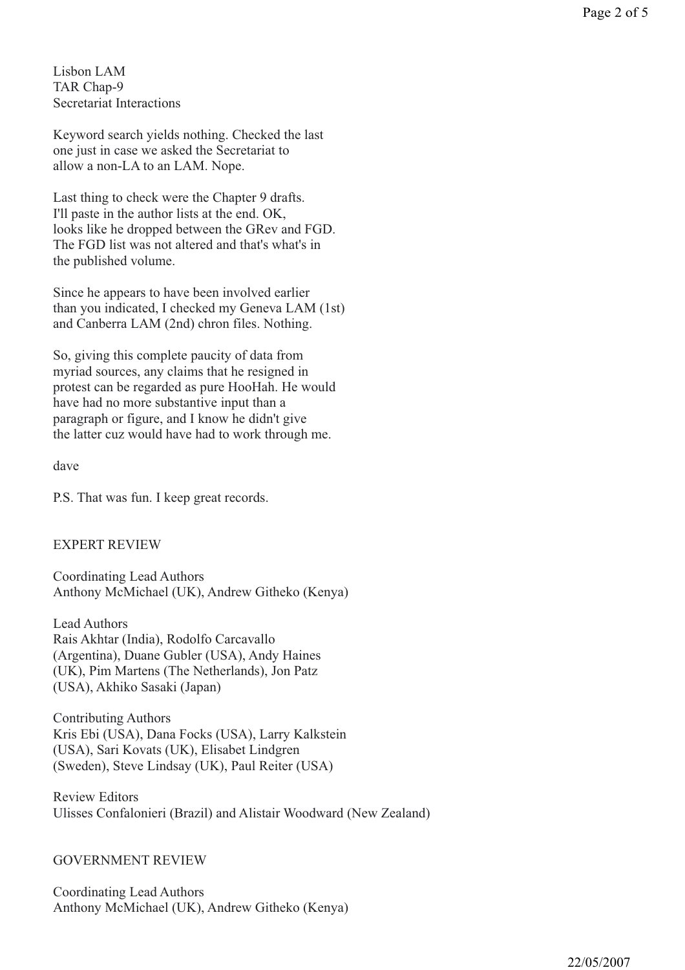Keyword search yields nothing. Checked the last one just in case we asked the Secretariat to allow a non-LA to an LAM. Nope.

Last thing to check were the Chapter 9 drafts. I'll paste in the author lists at the end. OK, looks like he dropped between the GRev and FGD. The FGD list was not altered and that's what's in the published volume.

Since he appears to have been involved earlier than you indicated, I checked my Geneva LAM (1st) and Canberra LAM (2nd) chron files. Nothing.

So, giving this complete paucity of data from myriad sources, any claims that he resigned in protest can be regarded as pure HooHah. He would have had no more substantive input than a paragraph or figure, and I know he didn't give the latter cuz would have had to work through me.

dave

P.S. That was fun. I keep great records.

## EXPERT REVIEW

Coordinating Lead Authors Anthony McMichael (UK), Andrew Githeko (Kenya)

Lead Authors Rais Akhtar (India), Rodolfo Carcavallo (Argentina), Duane Gubler (USA), Andy Haines (UK), Pim Martens (The Netherlands), Jon Patz (USA), Akhiko Sasaki (Japan)

Contributing Authors Kris Ebi (USA), Dana Focks (USA), Larry Kalkstein (USA), Sari Kovats (UK), Elisabet Lindgren (Sweden), Steve Lindsay (UK), Paul Reiter (USA)

Review Editors Ulisses Confalonieri (Brazil) and Alistair Woodward (New Zealand)

### GOVERNMENT REVIEW

Coordinating Lead Authors Anthony McMichael (UK), Andrew Githeko (Kenya)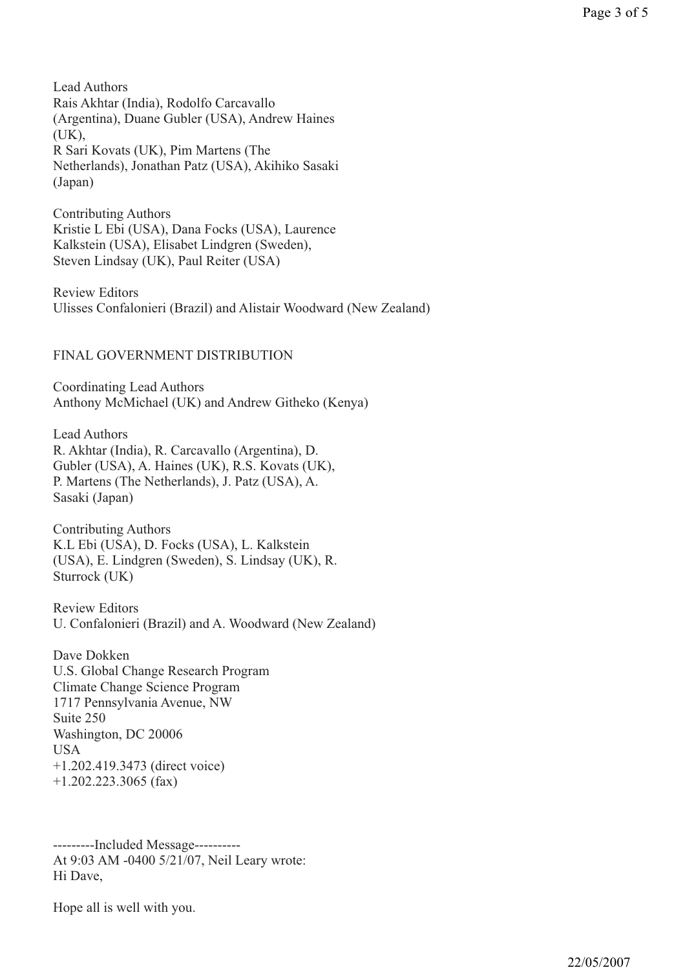Lead Authors Rais Akhtar (India), Rodolfo Carcavallo (Argentina), Duane Gubler (USA), Andrew Haines (UK), R Sari Kovats (UK), Pim Martens (The Netherlands), Jonathan Patz (USA), Akihiko Sasaki (Japan)

Contributing Authors Kristie L Ebi (USA), Dana Focks (USA), Laurence Kalkstein (USA), Elisabet Lindgren (Sweden), Steven Lindsay (UK), Paul Reiter (USA)

Review Editors Ulisses Confalonieri (Brazil) and Alistair Woodward (New Zealand)

### FINAL GOVERNMENT DISTRIBUTION

Coordinating Lead Authors Anthony McMichael (UK) and Andrew Githeko (Kenya)

Lead Authors R. Akhtar (India), R. Carcavallo (Argentina), D. Gubler (USA), A. Haines (UK), R.S. Kovats (UK), P. Martens (The Netherlands), J. Patz (USA), A. Sasaki (Japan)

Contributing Authors K.L Ebi (USA), D. Focks (USA), L. Kalkstein (USA), E. Lindgren (Sweden), S. Lindsay (UK), R. Sturrock (UK)

Review Editors U. Confalonieri (Brazil) and A. Woodward (New Zealand)

Dave Dokken U.S. Global Change Research Program Climate Change Science Program 1717 Pennsylvania Avenue, NW Suite 250 Washington, DC 20006 USA +1.202.419.3473 (direct voice) +1.202.223.3065 (fax)

---------Included Message---------- At 9:03 AM -0400 5/21/07, Neil Leary wrote: Hi Dave,

Hope all is well with you.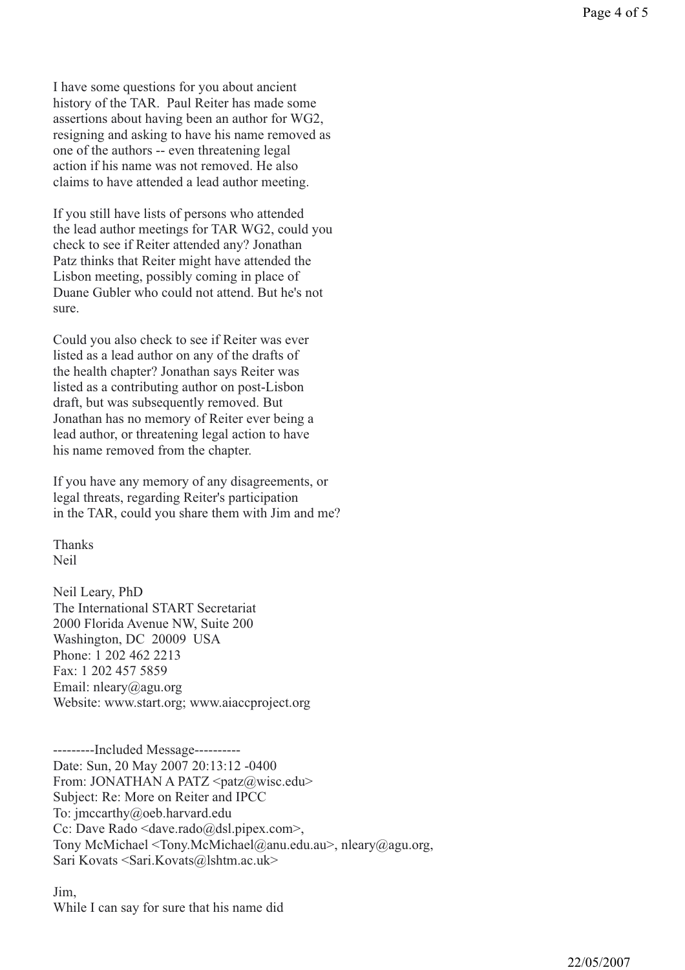I have some questions for you about ancient history of the TAR. Paul Reiter has made some assertions about having been an author for WG2, resigning and asking to have his name removed as one of the authors -- even threatening legal action if his name was not removed. He also claims to have attended a lead author meeting.

If you still have lists of persons who attended the lead author meetings for TAR WG2, could you check to see if Reiter attended any? Jonathan Patz thinks that Reiter might have attended the Lisbon meeting, possibly coming in place of Duane Gubler who could not attend. But he's not sure.

Could you also check to see if Reiter was ever listed as a lead author on any of the drafts of the health chapter? Jonathan says Reiter was listed as a contributing author on post-Lisbon draft, but was subsequently removed. But Jonathan has no memory of Reiter ever being a lead author, or threatening legal action to have his name removed from the chapter.

If you have any memory of any disagreements, or legal threats, regarding Reiter's participation in the TAR, could you share them with Jim and me?

Thanks Neil

Neil Leary, PhD The International START Secretariat 2000 Florida Avenue NW, Suite 200 Washington, DC 20009 USA Phone: 1 202 462 2213 Fax: 1 202 457 5859 Email: nleary@agu.org Website: www.start.org; www.aiaccproject.org

---------Included Message---------- Date: Sun, 20 May 2007 20:13:12 -0400 From: JONATHAN A PATZ  $\langle$  patz $\langle \hat{a} \rangle$ wisc.edu> Subject: Re: More on Reiter and IPCC To: jmccarthy@oeb.harvard.edu Cc: Dave Rado <dave.rado@dsl.pipex.com>, Tony McMichael <Tony.McMichael@anu.edu.au>, nleary@agu.org, Sari Kovats <Sari.Kovats@lshtm.ac.uk>

Jim, While I can say for sure that his name did